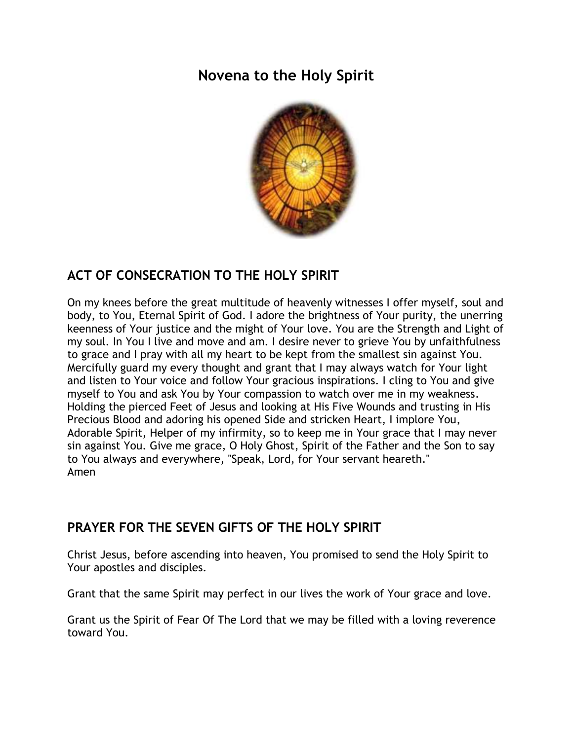# **Novena to the Holy Spirit**



## **ACT OF CONSECRATION TO THE HOLY SPIRIT**

On my knees before the great multitude of heavenly witnesses I offer myself, soul and body, to You, Eternal Spirit of God. I adore the brightness of Your purity, the unerring keenness of Your justice and the might of Your love. You are the Strength and Light of my soul. In You I live and move and am. I desire never to grieve You by unfaithfulness to grace and I pray with all my heart to be kept from the smallest sin against You. Mercifully guard my every thought and grant that I may always watch for Your light and listen to Your voice and follow Your gracious inspirations. I cling to You and give myself to You and ask You by Your compassion to watch over me in my weakness. Holding the pierced Feet of Jesus and looking at His Five Wounds and trusting in His Precious Blood and adoring his opened Side and stricken Heart, I implore You, Adorable Spirit, Helper of my infirmity, so to keep me in Your grace that I may never sin against You. Give me grace, O Holy Ghost, Spirit of the Father and the Son to say to You always and everywhere, "Speak, Lord, for Your servant heareth." Amen

## **PRAYER FOR THE SEVEN GIFTS OF THE HOLY SPIRIT**

Christ Jesus, before ascending into heaven, You promised to send the Holy Spirit to Your apostles and disciples.

Grant that the same Spirit may perfect in our lives the work of Your grace and love.

Grant us the Spirit of Fear Of The Lord that we may be filled with a loving reverence toward You.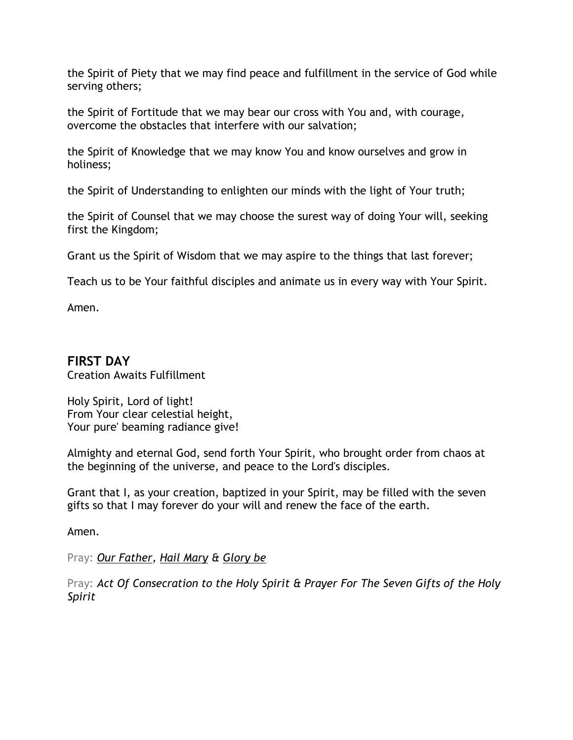the Spirit of Piety that we may find peace and fulfillment in the service of God while serving others;

the Spirit of Fortitude that we may bear our cross with You and, with courage, overcome the obstacles that interfere with our salvation;

the Spirit of Knowledge that we may know You and know ourselves and grow in holiness;

the Spirit of Understanding to enlighten our minds with the light of Your truth;

the Spirit of Counsel that we may choose the surest way of doing Your will, seeking first the Kingdom;

Grant us the Spirit of Wisdom that we may aspire to the things that last forever;

Teach us to be Your faithful disciples and animate us in every way with Your Spirit.

Amen.

#### **FIRST DAY**  Creation Awaits Fulfillment

Holy Spirit, Lord of light! From Your clear celestial height, Your pure' beaming radiance give!

Almighty and eternal God, send forth Your Spirit, who brought order from chaos at the beginning of the universe, and peace to the Lord's disciples.

Grant that I, as your creation, baptized in your Spirit, may be filled with the seven gifts so that I may forever do your will and renew the face of the earth.

Amen.

Pray: *[Our Father,](http://www.scborromeo.org/prayers/ourfather.pdf) [Hail Mary](http://www.scborromeo.org/prayers/hailmary.pdf) & [Glory be](http://www.scborromeo.org/prayers/glorybe.pdf)*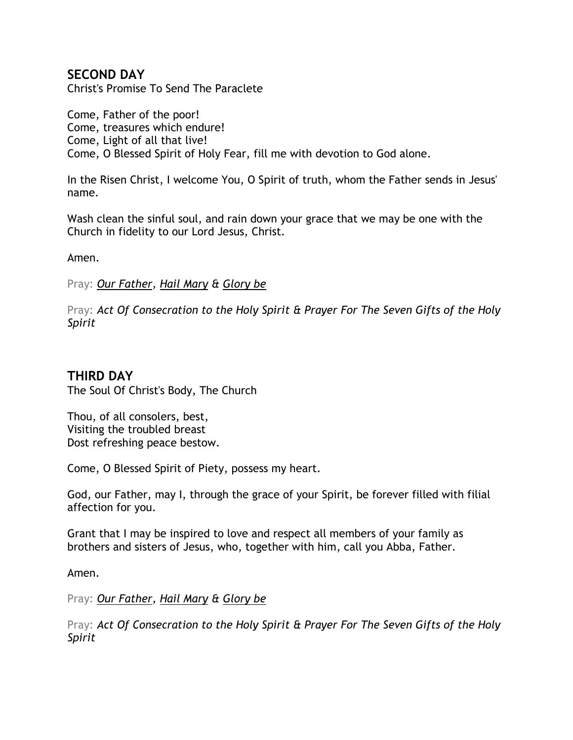## **SECOND DAY**

Christ's Promise To Send The Paraclete

Come, Father of the poor! Come, treasures which endure! Come, Light of all that live! Come, O Blessed Spirit of Holy Fear, fill me with devotion to God alone.

In the Risen Christ, I welcome You, O Spirit of truth, whom the Father sends in Jesus' name.

Wash clean the sinful soul, and rain down your grace that we may be one with the Church in fidelity to our Lord Jesus, Christ.

Amen.

Pray: *[Our Father,](http://www.scborromeo.org/prayers/ourfather.pdf) [Hail Mary](http://www.scborromeo.org/prayers/hailmary.pdf) & [Glory be](http://www.scborromeo.org/prayers/glorybe.pdf)* 

Pray: *Act Of Consecration to the Holy Spirit & [Prayer For The Seven Gifts of the Holy](http://www.scborromeo.org/prayers/novenahs.htm#7gifts)  [Spirit](http://www.scborromeo.org/prayers/novenahs.htm#7gifts)* 

## **THIRD DAY**

The Soul Of Christ's Body, The Church

Thou, of all consolers, best, Visiting the troubled breast Dost refreshing peace bestow.

Come, O Blessed Spirit of Piety, possess my heart.

God, our Father, may I, through the grace of your Spirit, be forever filled with filial affection for you.

Grant that I may be inspired to love and respect all members of your family as brothers and sisters of Jesus, who, together with him, call you Abba, Father.

Amen.

Pray: *[Our Father,](http://www.scborromeo.org/prayers/ourfather.pdf) [Hail Mary](http://www.scborromeo.org/prayers/hailmary.pdf) & [Glory be](http://www.scborromeo.org/prayers/glorybe.pdf)*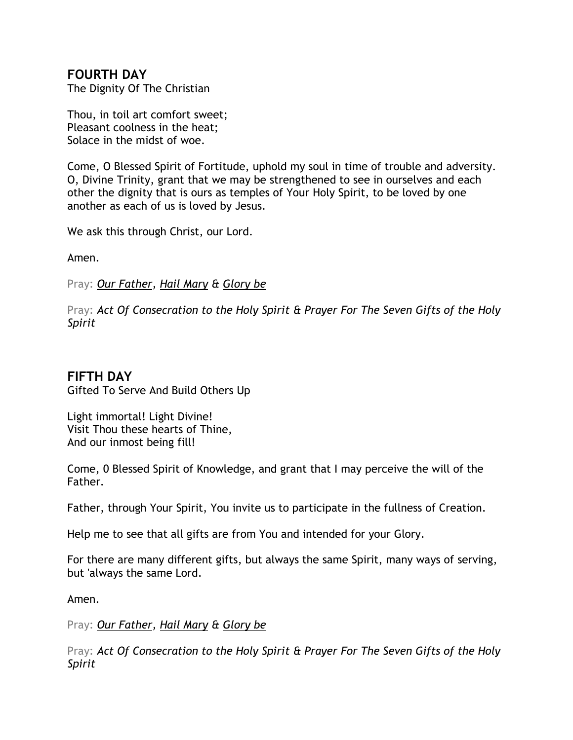## **FOURTH DAY**

The Dignity Of The Christian

Thou, in toil art comfort sweet; Pleasant coolness in the heat; Solace in the midst of woe.

Come, O Blessed Spirit of Fortitude, uphold my soul in time of trouble and adversity. O, Divine Trinity, grant that we may be strengthened to see in ourselves and each other the dignity that is ours as temples of Your Holy Spirit, to be loved by one another as each of us is loved by Jesus.

We ask this through Christ, our Lord.

Amen.

Pray: *[Our Father,](http://www.scborromeo.org/prayers/ourfather.pdf) [Hail Mary](http://www.scborromeo.org/prayers/hailmary.pdf) & [Glory be](http://www.scborromeo.org/prayers/glorybe.pdf)* 

Pray: *Act Of Consecration to the Holy Spirit & [Prayer For The Seven Gifts of the Holy](http://www.scborromeo.org/prayers/novenahs.htm#7gifts)  [Spirit](http://www.scborromeo.org/prayers/novenahs.htm#7gifts)* 

## **FIFTH DAY**

Gifted To Serve And Build Others Up

Light immortal! Light Divine! Visit Thou these hearts of Thine, And our inmost being fill!

Come, 0 Blessed Spirit of Knowledge, and grant that I may perceive the will of the Father.

Father, through Your Spirit, You invite us to participate in the fullness of Creation.

Help me to see that all gifts are from You and intended for your Glory.

For there are many different gifts, but always the same Spirit, many ways of serving, but 'always the same Lord.

Amen.

Pray: *[Our Father,](http://www.scborromeo.org/prayers/ourfather.pdf) [Hail Mary](http://www.scborromeo.org/prayers/hailmary.pdf) & [Glory be](http://www.scborromeo.org/prayers/glorybe.pdf)*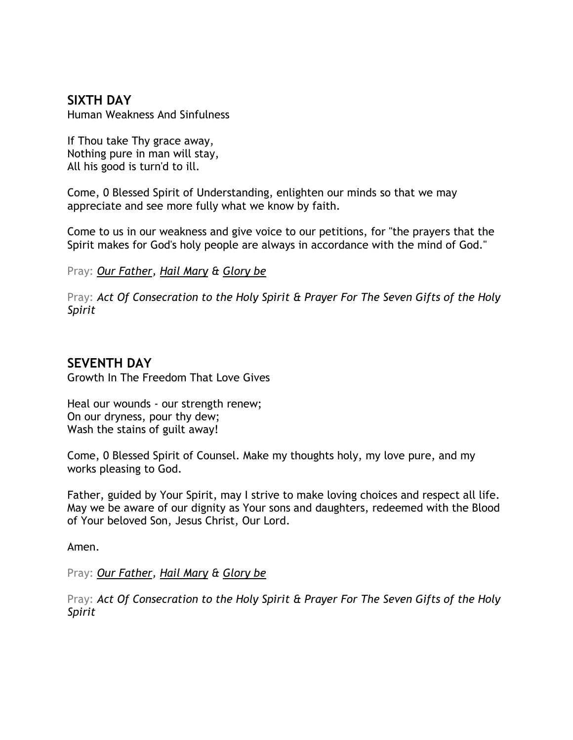## **SIXTH DAY**

Human Weakness And Sinfulness

If Thou take Thy grace away, Nothing pure in man will stay, All his good is turn'd to ill.

Come, 0 Blessed Spirit of Understanding, enlighten our minds so that we may appreciate and see more fully what we know by faith.

Come to us in our weakness and give voice to our petitions, for "the prayers that the Spirit makes for God's holy people are always in accordance with the mind of God."

Pray: *[Our Father,](http://www.scborromeo.org/prayers/ourfather.pdf) [Hail Mary](http://www.scborromeo.org/prayers/hailmary.pdf) & [Glory be](http://www.scborromeo.org/prayers/glorybe.pdf)* 

Pray: *Act Of Consecration to the Holy Spirit & [Prayer For The Seven Gifts of the Holy](http://www.scborromeo.org/prayers/novenahs.htm#7gifts)  [Spirit](http://www.scborromeo.org/prayers/novenahs.htm#7gifts)* 

#### **SEVENTH DAY**

Growth In The Freedom That Love Gives

Heal our wounds - our strength renew; On our dryness, pour thy dew; Wash the stains of guilt away!

Come, 0 Blessed Spirit of Counsel. Make my thoughts holy, my love pure, and my works pleasing to God.

Father, guided by Your Spirit, may I strive to make loving choices and respect all life. May we be aware of our dignity as Your sons and daughters, redeemed with the Blood of Your beloved Son, Jesus Christ, Our Lord.

Amen.

Pray: *[Our Father,](http://www.scborromeo.org/prayers/ourfather.pdf) [Hail Mary](http://www.scborromeo.org/prayers/hailmary.pdf) & [Glory be](http://www.scborromeo.org/prayers/glorybe.pdf)*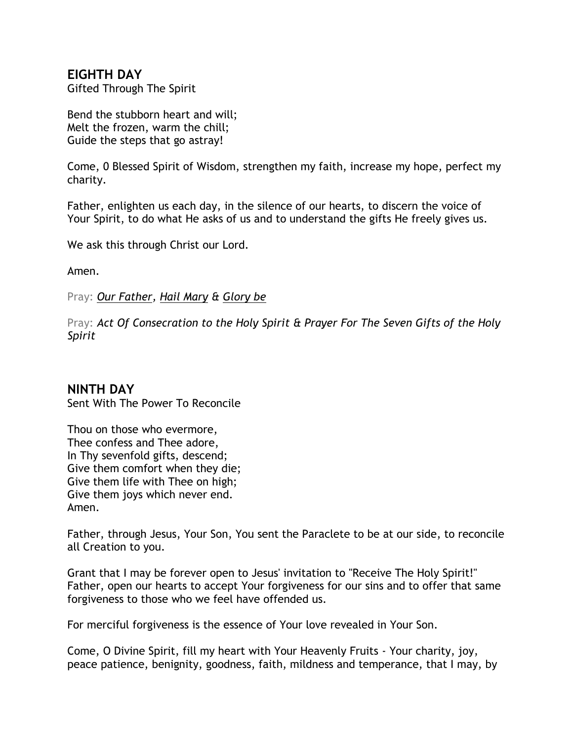## **EIGHTH DAY**

Gifted Through The Spirit

Bend the stubborn heart and will; Melt the frozen, warm the chill; Guide the steps that go astray!

Come, 0 Blessed Spirit of Wisdom, strengthen my faith, increase my hope, perfect my charity.

Father, enlighten us each day, in the silence of our hearts, to discern the voice of Your Spirit, to do what He asks of us and to understand the gifts He freely gives us.

We ask this through Christ our Lord.

Amen.

Pray: *[Our Father,](http://www.scborromeo.org/prayers/ourfather.pdf) [Hail Mary](http://www.scborromeo.org/prayers/hailmary.pdf) & [Glory be](http://www.scborromeo.org/prayers/glorybe.pdf)* 

Pray: *Act Of Consecration to the Holy Spirit & [Prayer For The Seven Gifts of the Holy](http://www.scborromeo.org/prayers/novenahs.htm#7gifts)  [Spirit](http://www.scborromeo.org/prayers/novenahs.htm#7gifts)* 

#### **NINTH DAY**

Sent With The Power To Reconcile

Thou on those who evermore, Thee confess and Thee adore, In Thy sevenfold gifts, descend; Give them comfort when they die; Give them life with Thee on high; Give them joys which never end. Amen.

Father, through Jesus, Your Son, You sent the Paraclete to be at our side, to reconcile all Creation to you.

Grant that I may be forever open to Jesus' invitation to "Receive The Holy Spirit!" Father, open our hearts to accept Your forgiveness for our sins and to offer that same forgiveness to those who we feel have offended us.

For merciful forgiveness is the essence of Your love revealed in Your Son.

Come, O Divine Spirit, fill my heart with Your Heavenly Fruits - Your charity, joy, peace patience, benignity, goodness, faith, mildness and temperance, that I may, by